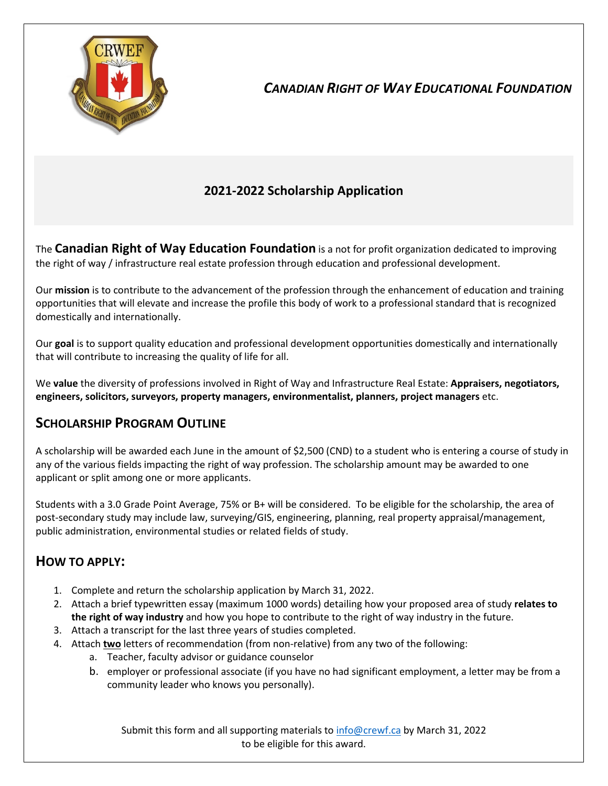

# *CANADIAN RIGHT OF WAY EDUCATIONAL FOUNDATION*

## **2021-2022 Scholarship Application**

The **Canadian Right of Way Education Foundation** is a not for profit organization dedicated to improving the right of way / infrastructure real estate profession through education and professional development.

Our **mission** is to contribute to the advancement of the profession through the enhancement of education and training opportunities that will elevate and increase the profile this body of work to a professional standard that is recognized domestically and internationally.

Our **goal** is to support quality education and professional development opportunities domestically and internationally that will contribute to increasing the quality of life for all.

We **value** the diversity of professions involved in Right of Way and Infrastructure Real Estate: **Appraisers, negotiators, engineers, solicitors, surveyors, property managers, environmentalist, planners, project managers** etc.

### **SCHOLARSHIP PROGRAM OUTLINE**

A scholarship will be awarded each June in the amount of \$2,500 (CND) to a student who is entering a course of study in any of the various fields impacting the right of way profession. The scholarship amount may be awarded to one applicant or split among one or more applicants.

Students with a 3.0 Grade Point Average, 75% or B+ will be considered. To be eligible for the scholarship, the area of post-secondary study may include law, surveying/GIS, engineering, planning, real property appraisal/management, public administration, environmental studies or related fields of study.

### **HOW TO APPLY:**

- 1. Complete and return the scholarship application by March 31, 2022.
- 2. Attach a brief typewritten essay (maximum 1000 words) detailing how your proposed area of study **relates to the right of way industry** and how you hope to contribute to the right of way industry in the future.
- 3. Attach a transcript for the last three years of studies completed.
- 4. Attach **two** letters of recommendation (from non-relative) from any two of the following:
	- a. Teacher, faculty advisor or guidance counselor
	- b. employer or professional associate (if you have no had significant employment, a letter may be from a community leader who knows you personally).

Submit this form and all supporting materials t[o info@crewf.ca](mailto:info@crewf.ca) by March 31, 2022 to be eligible for this award.